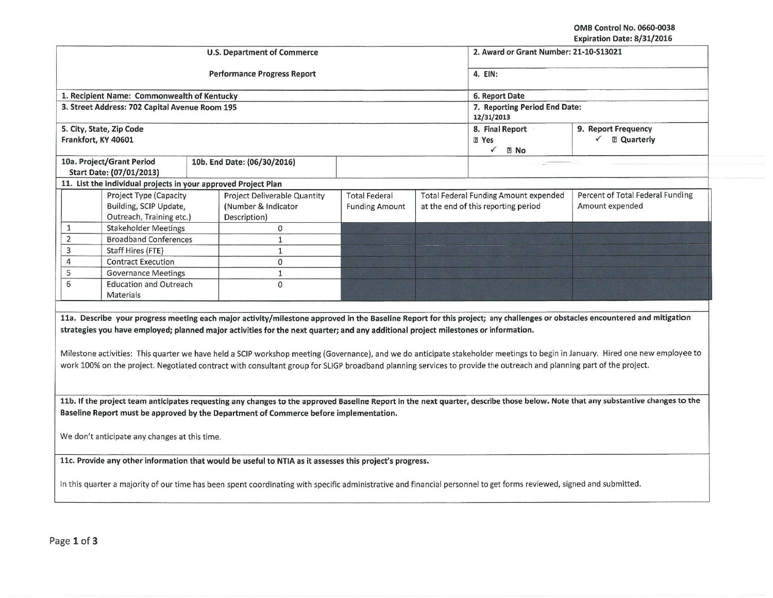OMB Control No. 0660-0038 Expiration Date: 8/31/2016

|                                                                                                                                                                                                                                                                                                                           |                                                                              | <b>U.S. Department of Commerce</b>                                                                                                                                                                                                                                                                                                                                                                                                                                                      |                                                                |                                                 | 2. Award or Grant Number: 21-10-513021                                       | EXPITATION DATE OF 31/2010                                                                                                                                                     |
|---------------------------------------------------------------------------------------------------------------------------------------------------------------------------------------------------------------------------------------------------------------------------------------------------------------------------|------------------------------------------------------------------------------|-----------------------------------------------------------------------------------------------------------------------------------------------------------------------------------------------------------------------------------------------------------------------------------------------------------------------------------------------------------------------------------------------------------------------------------------------------------------------------------------|----------------------------------------------------------------|-------------------------------------------------|------------------------------------------------------------------------------|--------------------------------------------------------------------------------------------------------------------------------------------------------------------------------|
|                                                                                                                                                                                                                                                                                                                           |                                                                              |                                                                                                                                                                                                                                                                                                                                                                                                                                                                                         |                                                                |                                                 |                                                                              |                                                                                                                                                                                |
|                                                                                                                                                                                                                                                                                                                           |                                                                              | <b>Performance Progress Report</b>                                                                                                                                                                                                                                                                                                                                                                                                                                                      | 4. EIN:                                                        |                                                 |                                                                              |                                                                                                                                                                                |
|                                                                                                                                                                                                                                                                                                                           | 1. Recipient Name: Commonwealth of Kentucky                                  |                                                                                                                                                                                                                                                                                                                                                                                                                                                                                         | 6. Report Date                                                 |                                                 |                                                                              |                                                                                                                                                                                |
|                                                                                                                                                                                                                                                                                                                           | 3. Street Address: 702 Capital Avenue Room 195                               |                                                                                                                                                                                                                                                                                                                                                                                                                                                                                         | 7. Reporting Period End Date:<br>12/31/2013                    |                                                 |                                                                              |                                                                                                                                                                                |
| Frankfort, KY 40601                                                                                                                                                                                                                                                                                                       | 5. City, State, Zip Code                                                     |                                                                                                                                                                                                                                                                                                                                                                                                                                                                                         | 8. Final Report<br><b>图 Yes</b><br>$\checkmark$<br><b>Z</b> No | 9. Report Frequency<br>$\checkmark$ 2 Quarterly |                                                                              |                                                                                                                                                                                |
|                                                                                                                                                                                                                                                                                                                           | 10a. Project/Grant Period<br>Start Date: (07/01/2013)                        | 10b. End Date: (06/30/2016)                                                                                                                                                                                                                                                                                                                                                                                                                                                             |                                                                |                                                 |                                                                              |                                                                                                                                                                                |
|                                                                                                                                                                                                                                                                                                                           | 11. List the individual projects in your approved Project Plan               |                                                                                                                                                                                                                                                                                                                                                                                                                                                                                         |                                                                |                                                 |                                                                              |                                                                                                                                                                                |
|                                                                                                                                                                                                                                                                                                                           | Project Type (Capacity<br>Building, SCIP Update,<br>Outreach, Training etc.) | Project Deliverable Quantity<br>(Number & Indicator<br>Description)                                                                                                                                                                                                                                                                                                                                                                                                                     | <b>Total Federal</b><br><b>Funding Amount</b>                  |                                                 | Total Federal Funding Amount expended<br>at the end of this reporting period | Percent of Total Federal Funding<br>Amount expended                                                                                                                            |
| $\mathbf{1}$                                                                                                                                                                                                                                                                                                              | <b>Stakeholder Meetings</b>                                                  | $\mathbf{0}$                                                                                                                                                                                                                                                                                                                                                                                                                                                                            |                                                                |                                                 |                                                                              |                                                                                                                                                                                |
| $\overline{2}$                                                                                                                                                                                                                                                                                                            | <b>Broadband Conferences</b>                                                 | $\mathbf{1}$                                                                                                                                                                                                                                                                                                                                                                                                                                                                            |                                                                |                                                 |                                                                              |                                                                                                                                                                                |
| $\overline{3}$                                                                                                                                                                                                                                                                                                            | Staff Hires (FTE)                                                            | $\mathbf{1}$                                                                                                                                                                                                                                                                                                                                                                                                                                                                            |                                                                |                                                 |                                                                              |                                                                                                                                                                                |
| $\overline{4}$                                                                                                                                                                                                                                                                                                            | <b>Contract Execution</b>                                                    | $\mathbf{0}$                                                                                                                                                                                                                                                                                                                                                                                                                                                                            |                                                                |                                                 |                                                                              |                                                                                                                                                                                |
| 5                                                                                                                                                                                                                                                                                                                         | <b>Governance Meetings</b>                                                   | $\mathbf{1}$                                                                                                                                                                                                                                                                                                                                                                                                                                                                            |                                                                |                                                 |                                                                              |                                                                                                                                                                                |
| 6                                                                                                                                                                                                                                                                                                                         | <b>Education and Outreach</b><br>Materials                                   | $\mathbf{0}$                                                                                                                                                                                                                                                                                                                                                                                                                                                                            |                                                                |                                                 |                                                                              |                                                                                                                                                                                |
|                                                                                                                                                                                                                                                                                                                           |                                                                              | 11a. Describe your progress meeting each major activity/milestone approved in the Baseline Report for this project; any challenges or obstacles encountered and mitigation<br>strategies you have employed; planned major activities for the next quarter; and any additional project milestones or information.<br>work 100% on the project. Negotiated contract with consultant group for SLIGP broadband planning services to provide the outreach and planning part of the project. |                                                                |                                                 |                                                                              | Milestone activities: This quarter we have held a SCIP workshop meeting (Governance), and we do anticipate stakeholder meetings to begin in January. Hired one new employee to |
| 11b. If the project team anticipates requesting any changes to the approved Baseline Report in the next quarter, describe those below. Note that any substantive changes to the<br>Baseline Report must be approved by the Department of Commerce before implementation.<br>We don't anticipate any changes at this time. |                                                                              |                                                                                                                                                                                                                                                                                                                                                                                                                                                                                         |                                                                |                                                 |                                                                              |                                                                                                                                                                                |
|                                                                                                                                                                                                                                                                                                                           |                                                                              | 11c. Provide any other information that would be useful to NTIA as it assesses this project's progress.                                                                                                                                                                                                                                                                                                                                                                                 |                                                                |                                                 |                                                                              |                                                                                                                                                                                |
|                                                                                                                                                                                                                                                                                                                           |                                                                              | In this quarter a majority of our time has been spent coordinating with specific administrative and financial personnel to get forms reviewed, signed and submitted.                                                                                                                                                                                                                                                                                                                    |                                                                |                                                 |                                                                              |                                                                                                                                                                                |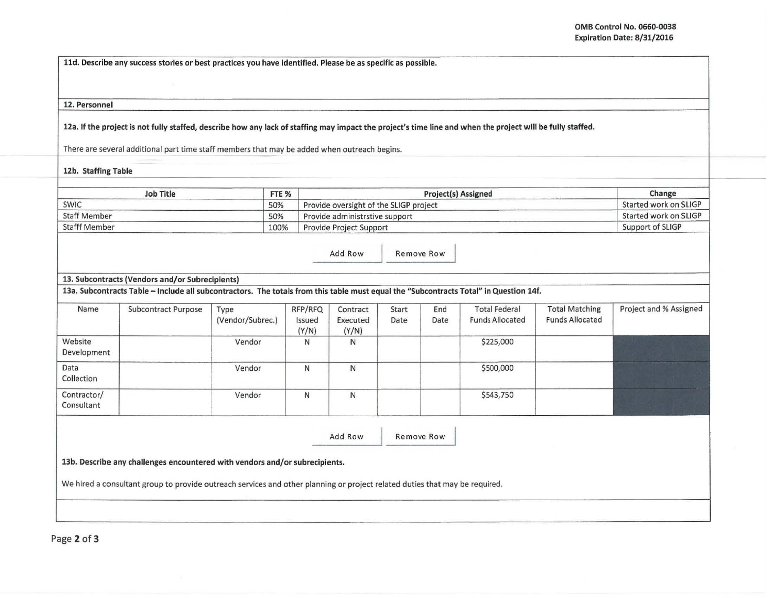lld. Describe any success stories or best practices you have identified. Please be as specific as possible.

## 12. Personnel

12a. If the project is not fully staffed, describe how any lack of staffing may impact the project' s time line and when the project will be fully staffed.

There are several additional part time staff members that may be added when outreach begins.

12b. Staffing Table

| Job Title            | FTE % | <b>Project(s) Assigned</b>             | Change                |
|----------------------|-------|----------------------------------------|-----------------------|
| <b>SWIC</b>          | 50%   | Provide oversight of the SLIGP project | Started work on SLIGP |
| <b>Staff Member</b>  | 50%   | Provide administrstive support         | Started work on SLIGP |
| <b>Stafff Member</b> | 100%  | Provide Project Support                | Support of SLIGP      |

Add Row Remove Row

## 13. Subcontracts (Vendors and/or Subrecipients)

13a. Subcontracts Table -Include all subcontractors. The totals from this table must equal the "Subcontracts Total" in Question 14f.

| Name                      | Subcontract Purpose | Type<br>(Vendor/Subrec.) | RFP/RFQ<br>Issued<br>(Y/N) | Contract<br>Executed<br>(Y/N) | Start<br>Date | End<br>Date | <b>Total Federal</b><br><b>Funds Allocated</b> | <b>Total Matching</b><br><b>Funds Allocated</b> | Project and % Assigned |
|---------------------------|---------------------|--------------------------|----------------------------|-------------------------------|---------------|-------------|------------------------------------------------|-------------------------------------------------|------------------------|
| Website<br>Development    |                     | Vendor                   | N                          | N                             |               |             | \$225,000                                      |                                                 |                        |
| Data<br>Collection        |                     | Vendor                   | N                          | N                             |               |             | \$500,000                                      |                                                 |                        |
| Contractor/<br>Consultant |                     | Vendor                   | N                          | N                             |               |             | \$543,750                                      |                                                 |                        |

Add Row Remove Row

13b. Describe any challenges encountered with vendors and/or subrecipients.

We hired a consultant group to provide outreach services and other planning or project related duties that may be required.

Page 2 of 3